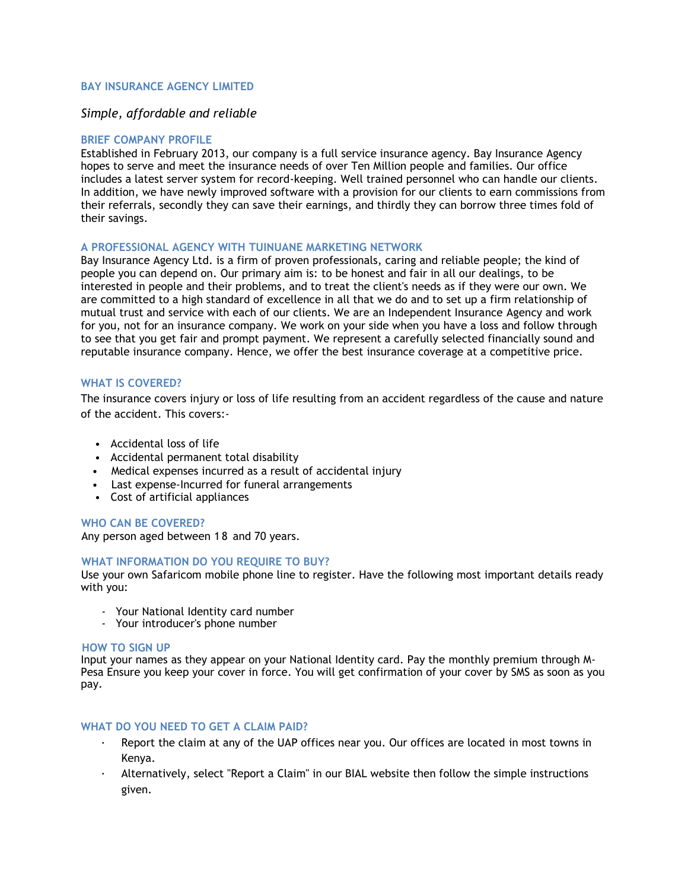## **BAY INSURANCE AGENCY LIMITED**

# *Simple, affordable and reliable*

### **BRIEF COMPANY PROFILE**

Established in February 2013, our company is a full service insurance agency. Bay Insurance Agency hopes to serve and meet the insurance needs of over Ten Million people and families. Our office includes a latest server system for record-keeping. Well trained personnel who can handle our clients. In addition, we have newly improved software with a provision for our clients to earn commissions from their referrals, secondly they can save their earnings, and thirdly they can borrow three times fold of their savings.

#### **A PROFESSIONAL AGENCY WITH TUINUANE MARKETING NETWORK**

Bay Insurance Agency Ltd. is a firm of proven professionals, caring and reliable people; the kind of people you can depend on. Our primary aim is: to be honest and fair in all our dealings, to be interested in people and their problems, and to treat the client's needs as if they were our own. We are committed to a high standard of excellence in all that we do and to set up a firm relationship of mutual trust and service with each of our clients. We are an Independent Insurance Agency and work for you, not for an insurance company. We work on your side when you have a loss and follow through to see that you get fair and prompt payment. We represent a carefully selected financially sound and reputable insurance company. Hence, we offer the best insurance coverage at a competitive price.

#### **WHAT IS COVERED?**

The insurance covers injury or loss of life resulting from an accident regardless of the cause and nature of the accident. This covers:-

- Accidental loss of life
- Accidental permanent total disability
- Medical expenses incurred as a result of accidental injury
- Last expense-Incurred for funeral arrangements
- Cost of artificial appliances

#### **WHO CAN BE COVERED?**

Any person aged between 1 8 and 70 years.

#### **WHAT INFORMATION DO YOU REQUIRE TO BUY?**

Use your own Safaricom mobile phone line to register. Have the following most important details ready with you:

- Your National Identity card number
- Your introducer's phone number

#### **HOW TO SIGN UP**

Input your names as they appear on your National Identity card. Pay the monthly premium through M-Pesa Ensure you keep your cover in force. You will get confirmation of your cover by SMS as soon as you pay.

## **WHAT DO YOU NEED TO GET A CLAIM PAID?**

- Report the claim at any of the UAP offices near you. Our offices are located in most towns in Kenya.
- · Alternatively, select "Report a Claim" in our BIAL website then follow the simple instructions given.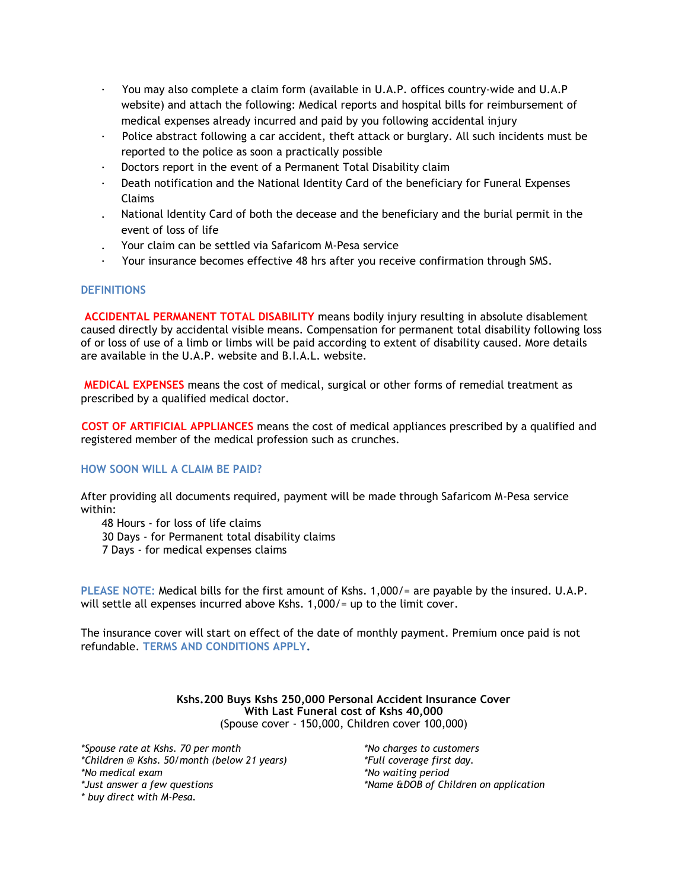- · You may also complete a claim form (available in U.A.P. offices country-wide and U.A.P website) and attach the following: Medical reports and hospital bills for reimbursement of medical expenses already incurred and paid by you following accidental injury
- Police abstract following a car accident, theft attack or burglary. All such incidents must be reported to the police as soon a practically possible
- Doctors report in the event of a Permanent Total Disability claim
- Death notification and the National Identity Card of the beneficiary for Funeral Expenses Claims
- . National Identity Card of both the decease and the beneficiary and the burial permit in the event of loss of life
- . Your claim can be settled via Safaricom M-Pesa service
- · Your insurance becomes effective 48 hrs after you receive confirmation through SMS.

#### **DEFINITIONS**

**ACCIDENTAL PERMANENT TOTAL DISABILITY** means bodily injury resulting in absolute disablement caused directly by accidental visible means. Compensation for permanent total disability following loss of or loss of use of a limb or limbs will be paid according to extent of disability caused. More details are available in the U.A.P. website and B.I.A.L. website.

**MEDICAL EXPENSES** means the cost of medical, surgical or other forms of remedial treatment as prescribed by a qualified medical doctor.

**COST OF ARTIFICIAL APPLIANCES** means the cost of medical appliances prescribed by a qualified and registered member of the medical profession such as crunches.

## **HOW SOON WILL A CLAIM BE PAID?**

After providing all documents required, payment will be made through Safaricom M-Pesa service within:

48 Hours - for loss of life claims 30 Days - for Permanent total disability claims 7 Days - for medical expenses claims

**PLEASE NOTE:** Medical bills for the first amount of Kshs. 1,000/= are payable by the insured. U.A.P. will settle all expenses incurred above Kshs. 1,000/= up to the limit cover.

The insurance cover will start on effect of the date of monthly payment. Premium once paid is not refundable. **TERMS AND CONDITIONS APPLY.** 

> **Kshs.200 Buys Kshs 250,000 Personal Accident Insurance Cover With Last Funeral cost of Kshs 40,000** (Spouse cover - 150,000, Children cover 100,000)

*\*Spouse rate at Kshs. 70 per month \*Children @ Kshs. 50/month (below 21 years) \*No medical exam \*Just answer a few questions \* buy direct with M-Pesa.* 

*\*No charges to customers \*Full coverage first day. \*No waiting period \*Name &DOB of Children on application*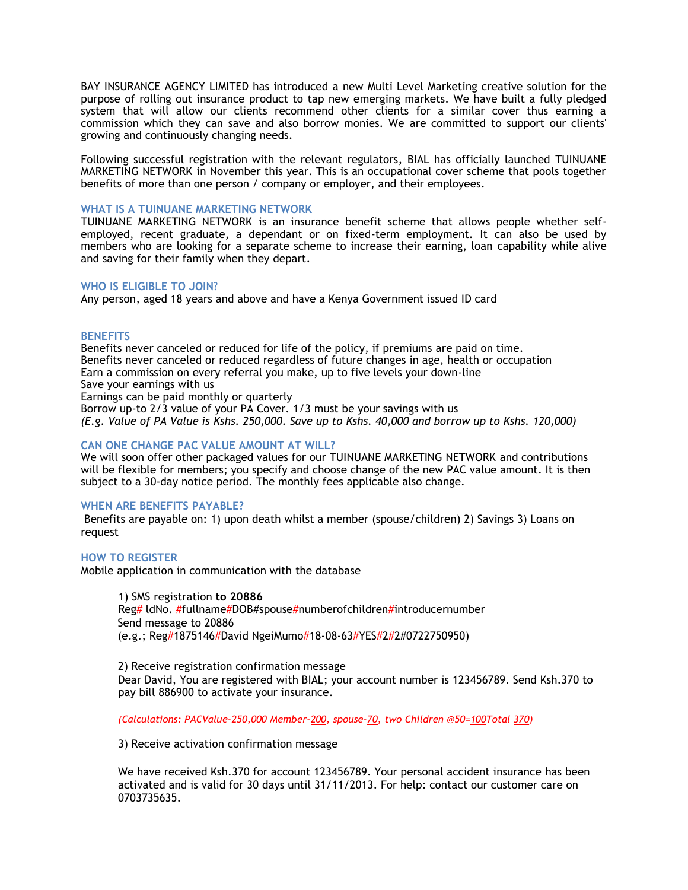BAY INSURANCE AGENCY LIMITED has introduced a new Multi Level Marketing creative solution for the purpose of rolling out insurance product to tap new emerging markets. We have built a fully pledged system that will allow our clients recommend other clients for a similar cover thus earning a commission which they can save and also borrow monies. We are committed to support our clients' growing and continuously changing needs.

Following successful registration with the relevant regulators, BIAL has officially launched TUINUANE MARKETING NETWORK in November this year. This is an occupational cover scheme that pools together benefits of more than one person / company or employer, and their employees.

#### **WHAT IS A TUINUANE MARKETING NETWORK**

TUINUANE MARKETING NETWORK is an insurance benefit scheme that allows people whether selfemployed, recent graduate, a dependant or on fixed-term employment. It can also be used by members who are looking for a separate scheme to increase their earning, loan capability while alive and saving for their family when they depart.

#### **WHO IS ELIGIBLE TO JOIN**?

Any person, aged 18 years and above and have a Kenya Government issued ID card

#### **BENEFITS**

Benefits never canceled or reduced for life of the policy, if premiums are paid on time. Benefits never canceled or reduced regardless of future changes in age, health or occupation Earn a commission on every referral you make, up to five levels your down-line Save your earnings with us

Earnings can be paid monthly or quarterly

Borrow up-to 2/3 value of your PA Cover. 1/3 must be your savings with us *(E.g. Value of PA Value is Kshs. 250,000. Save up to Kshs. 40,000 and borrow up to Kshs. 120,000)*

### **CAN ONE CHANGE PAC VALUE AMOUNT AT WILL?**

We will soon offer other packaged values for our TUINUANE MARKETING NETWORK and contributions will be flexible for members; you specify and choose change of the new PAC value amount. It is then subject to a 30-day notice period. The monthly fees applicable also change.

#### **WHEN ARE BENEFITS PAYABLE?**

Benefits are payable on: 1) upon death whilst a member (spouse/children) 2) Savings 3) Loans on request

#### **HOW TO REGISTER**

Mobile application in communication with the database

1) SMS registration **to 20886** Reg# ldNo. #fullname#DOB#spouse#numberofchildren#introducernumber Send message to 20886 (e.g.; Reg#1875146#David NgeiMumo#18-08-63#YES#2#2#0722750950)

2) Receive registration confirmation message Dear David, You are registered with BIAL; your account number is 123456789. Send Ksh.370 to pay bill 886900 to activate your insurance.

*(Calculations: PACValue-250,000 Member-200, spouse-70, two Children @50=100Total 370)*

3) Receive activation confirmation message

We have received Ksh.370 for account 123456789. Your personal accident insurance has been activated and is valid for 30 days until 31/11/2013. For help: contact our customer care on 0703735635.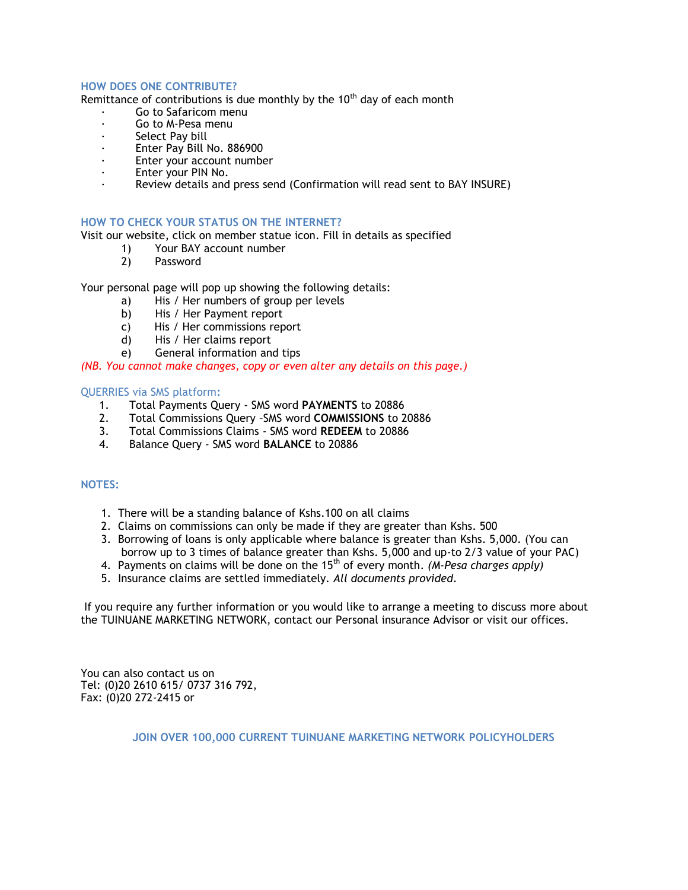## **HOW DOES ONE CONTRIBUTE?**

Remittance of contributions is due monthly by the  $10<sup>th</sup>$  day of each month

- Go to Safaricom menu
- Go to M-Pesa menu
- Select Pay bill
- Enter Pay Bill No. 886900
- Enter your account number
- Enter your PIN No.
- Review details and press send (Confirmation will read sent to BAY INSURE)

#### **HOW TO CHECK YOUR STATUS ON THE INTERNET?**

Visit our website, click on member statue icon. Fill in details as specified

- 1) Your BAY account number
	- 2) Password

Your personal page will pop up showing the following details:

- a) His / Her numbers of group per levels
- b) His / Her Payment report
- c) His / Her commissions report
- d) His / Her claims report
- e) General information and tips

## *(NB. You cannot make changes, copy or even alter any details on this page.)*

## QUERRIES via SMS platform**:**

- 1. Total Payments Query SMS word **PAYMENTS** to 20886
- 2. Total Commissions Query –SMS word **COMMISSIONS** to 20886
- 3. Total Commissions Claims SMS word **REDEEM** to 20886
- 4. Balance Query SMS word **BALANCE** to 20886

## **NOTES:**

- 1. There will be a standing balance of Kshs.100 on all claims
- 2. Claims on commissions can only be made if they are greater than Kshs. 500
- 3. Borrowing of loans is only applicable where balance is greater than Kshs. 5,000. (You can borrow up to 3 times of balance greater than Kshs. 5,000 and up-to 2/3 value of your PAC)
- 4. Payments on claims will be done on the 15th of every month. *(M-Pesa charges apply)*
- 5. Insurance claims are settled immediately*. All documents provided.*

If you require any further information or you would like to arrange a meeting to discuss more about the TUINUANE MARKETING NETWORK, contact our Personal insurance Advisor or visit our offices.

You can also contact us on Tel: (0)20 2610 615/ 0737 316 792, Fax: (0)20 272-2415 or

**JOIN OVER 100,000 CURRENT TUINUANE MARKETING NETWORK POLICYHOLDERS**